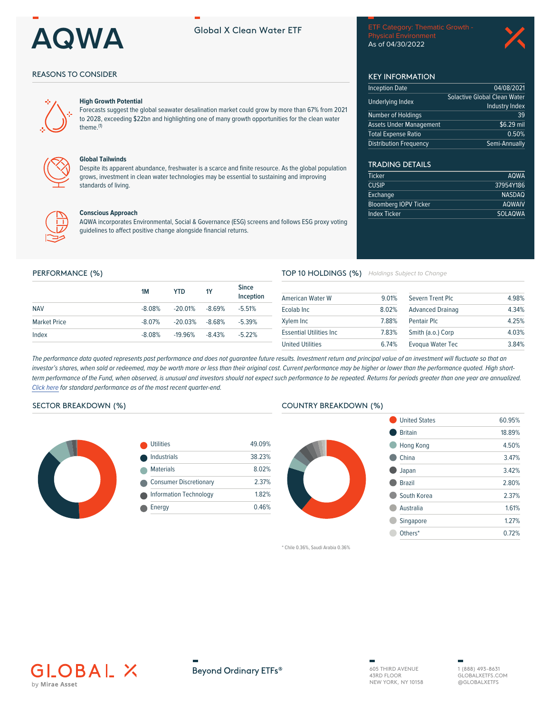

# **Global X Clean Water ETF**

**Physical Environment** As of 04/30/2022

04/08/2021

Industry Index

 $\frac{1}{$6.29}$  mil

 $0.50%$ Semi-Annually

**AQWA** 

37954Y186

**NASDAQ AQWAIV** 

**SOLAQWA** 

39

**Solactive Global Clean Water** 

**KEY INFORMATION** 

**Inception Date** 

**Underlying Index** 

Number of Holdings

**Total Expense Ratio** 

**Distribution Frequency** 

**TRADING DETAILS** 

**Bloomberg IOPV Ticker** 

**Ticker** 

**CUSIP** 

Exchange

**Index Ticker** 

**Assets Under Management** 

## **REASONS TO CONSIDER**



#### **High Growth Potential**

Forecasts suggest the global seawater desalination market could grow by more than 67% from 2021 to 2028, exceeding \$22bn and highlighting one of many growth opportunities for the clean water theme.<sup>(1)</sup>



#### **Global Tailwinds**

Despite its apparent abundance, freshwater is a scarce and finite resource. As the global population grows, investment in clean water technologies may be essential to sustaining and improving standards of living.



#### **Conscious Approach**

AQWA incorporates Environmental, Social & Governance (ESG) screens and follows ESG proxy voting quidelines to affect positive change alongside financial returns.

### PERFORMANCE (%)

|                     | <b>1M</b> | YTD                | <b>1Y</b> | <b>Since</b><br>Inception |
|---------------------|-----------|--------------------|-----------|---------------------------|
| <b>NAV</b>          | $-8.08\%$ | $-20.01\%$         | -8.69%    | $-5.51\%$                 |
| <b>Market Price</b> | $-8.07\%$ | $-20.03\% -8.68\%$ |           | $-5.39%$                  |
| Index               | $-8.08%$  | $-19.96%$          | $-8.43\%$ | $-5.22%$                  |

#### TOP 10 HOLDINGS (%) Holdings Subject to Change

| <b>American Water W</b>         | 9 01% | Severn Trent Plc        | 4.98% |
|---------------------------------|-------|-------------------------|-------|
| Ecolab Inc.                     | 8.02% | <b>Advanced Drainag</b> | 4.34% |
| Xylem Inc                       | 7.88% | Pentair Plc             | 4.25% |
| <b>Essential Utilities Inc.</b> | 7.83% | Smith (a.o.) Corp       | 4.03% |
| <b>United Utilities</b>         | 674%  | Evoqua Water Tec        | 3.84% |

The performance data quoted represents past performance and does not quarantee future results. Investment return and principal value of an investment will fluctuate so that an investor's shares, when sold or redeemed, may be worth more or less than their original cost. Current performance may be higher or lower than the performance quoted. High shortterm performance of the Fund, when observed, is unusual and investors should not expect such performance to be repeated. Returns for periods greater than one year are annualized. Click here for standard performance as of the most recent quarter-end.

# SECTOR BREAKDOWN (%)



| <b>Utilities</b>              | 49.09% |
|-------------------------------|--------|
| <b>Industrials</b>            | 38.23% |
| <b>Materials</b>              | 8.02%  |
| <b>Consumer Discretionary</b> | 2.37%  |
| <b>Information Technology</b> | 1.82%  |
| Energy                        | 0.46%  |



| <b>United States</b> | 60.95% |
|----------------------|--------|
| <b>Britain</b>       | 18.89% |
| Hong Kong            | 4.50%  |
| China                | 3 47%  |
| Japan                | 342%   |
| <b>Brazil</b>        | 2.80%  |
| South Korea          | 2.37%  |
| <b>Australia</b>     | 1.61%  |
| Singapore            | 1 2 7% |
| Others*              | 0.72%  |
|                      |        |

\* Chile 0.36%, Saudi Arabia 0.36%





605 THIRD AVENUE 43RD FLOOR NEW YORK, NY 10158

1 (888) 493-8631 GLOBAL XETES COM @GLOBALXETFS

**COUNTRY BREAKDOWN (%)**